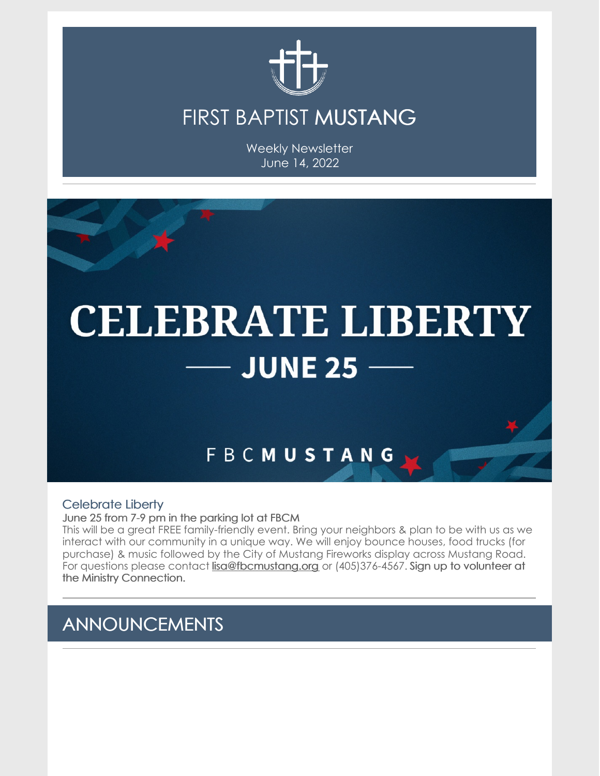

### FIRST BAPTIST MUSTANG

Weekly Newsletter June 14, 2022



### Celebrate Liberty

June 25 from 7-9 pm in the parking lot at FBCM

This will be a great FREE family-friendly event. Bring your neighbors & plan to be with us as we interact with our community in a unique way. We will enjoy bounce houses, food trucks (for purchase) & music followed by the City of Mustang Fireworks display across Mustang Road. For questions please contact [lisa@fbcmustang.org](mailto:lisa@fbcmustang.org) or (405)376-4567. Sign up to volunteer at the Ministry Connection.

### ANNOUNCEMENTS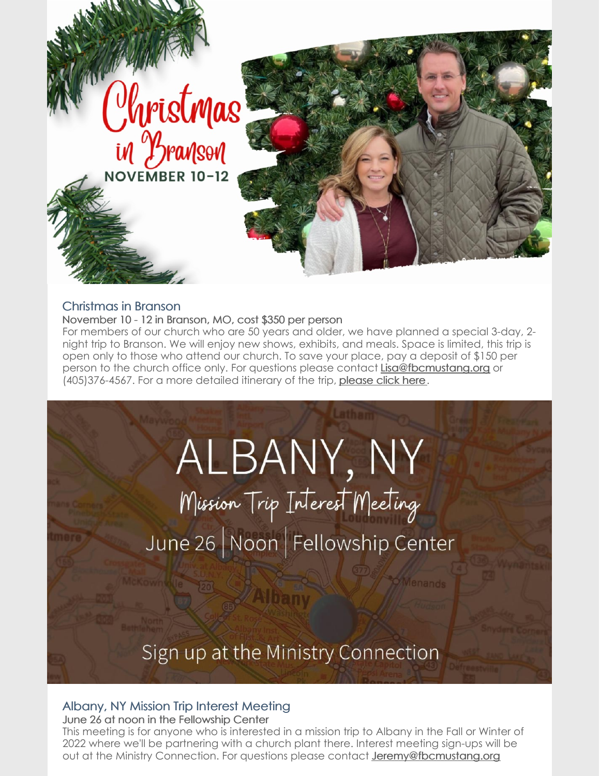

### Christmas in Branson

November 10 - 12 in Branson, MO, cost \$350 per person

For members of our church who are 50 years and older, we have planned a special 3-day, 2 night trip to Branson. We will enjoy new shows, exhibits, and meals. Space is limited, this trip is open only to those who attend our church. To save your place, pay a deposit of \$150 per person to the church office only. For questions please contact [Lisa@fbcmustang.org](mailto:Lisa@fbcmustang.org) or (405)376-4567. For a more detailed itinerary of the trip, [please](https://files.constantcontact.com/67ba98e8701/1e74c1f7-8284-4b61-bbdc-3fd00fde4533.pdf?rdr=true) click here.

ALBANY, NY

Mission Trip Interest Meeting June 26 | Noon | Fellowship Center

Sign up at the Ministry Connection

### Albany, NY Mission Trip Interest Meeting

June 26 at noon in the Fellowship Center

This meeting is for anyone who is interested in a mission trip to Albany in the Fall or Winter of 2022 where we'll be partnering with a church plant there. Interest meeting sign-ups will be out at the Ministry Connection. For questions please contact **[Jeremy@fbcmustang.org](mailto:Jeremy@fbcmustang.org)**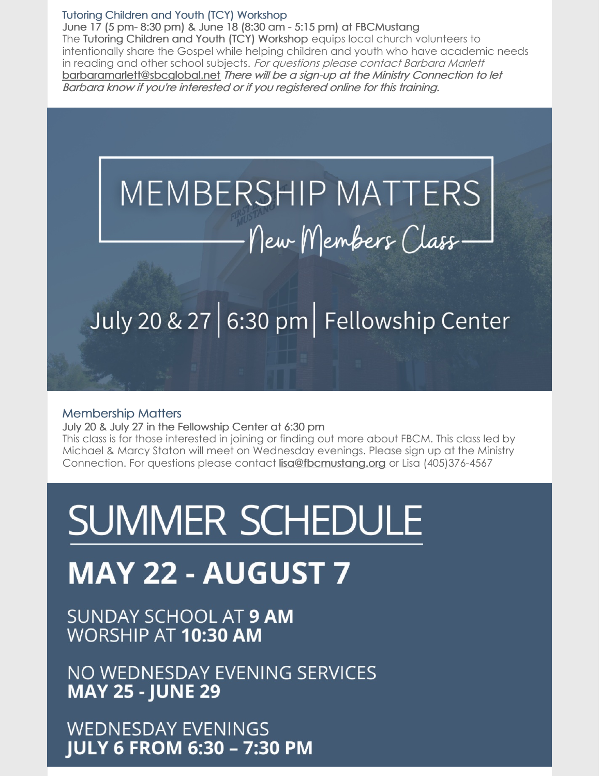#### Tutoring Children and Youth (TCY) Workshop

June 17 (5 pm- 8:30 pm) & June 18 (8:30 am - 5:15 pm) at FBCMustang The Tutoring Children and Youth (TCY) Workshop equips local church volunteers to intentionally share the Gospel while helping children and youth who have academic needs in reading and other school subjects. For questions please contact Barbara Marlett [barbaramarlett@sbcglobal.net](mailto:barbaramarlett@sbcglobal.net) There will be <sup>a</sup> sign-up at the Ministry Connection to let Barbara know if you're interested or if you registered online for this training.

# MEMBERSHIP MATTERS New Members Class-

## July 20 & 27 6:30 pm Fellowship Center

#### Membership Matters

July 20 & July 27 in the Fellowship Center at 6:30 pm

This class is for those interested in joining or finding out more about FBCM. This class led by Michael & Marcy Staton will meet on Wednesday evenings. Please sign up at the Ministry Connection. For questions please contact [lisa@fbcmustang.org](mailto:lisa@fbcmustang.org) or Lisa (405)376-4567

# **SUMMER SCHEDULE**

## **MAY 22 - AUGUST 7**

SUNDAY SCHOOL AT 9 AM WORSHIP AT 10:30 AM

NO WEDNESDAY EVENING SERVICES **MAY 25 - JUNE 29** 

**WEDNESDAY EVENINGS JULY 6 FROM 6:30 - 7:30 PM**